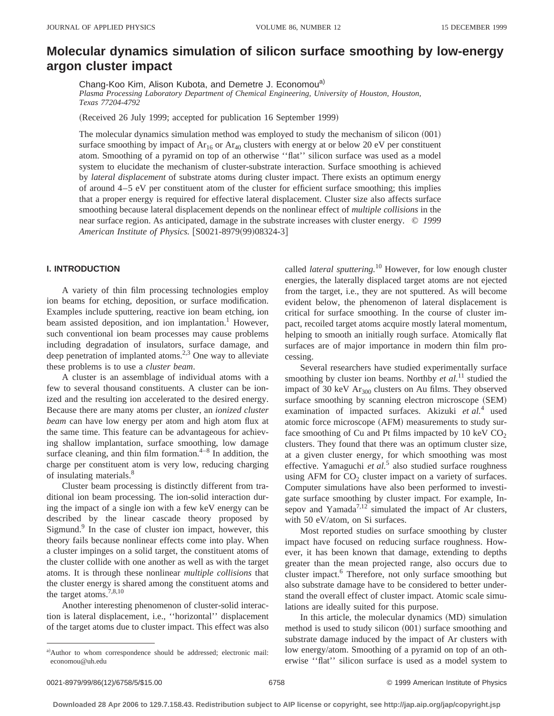# **Molecular dynamics simulation of silicon surface smoothing by low-energy argon cluster impact**

Chang-Koo Kim, Alison Kubota, and Demetre J. Economou<sup>a)</sup> *Plasma Processing Laboratory Department of Chemical Engineering, University of Houston, Houston, Texas 77204-4792*

(Received 26 July 1999; accepted for publication 16 September 1999)

The molecular dynamics simulation method was employed to study the mechanism of silicon  $(001)$ surface smoothing by impact of  $Ar_{16}$  or  $Ar_{40}$  clusters with energy at or below 20 eV per constituent atom. Smoothing of a pyramid on top of an otherwise ''flat'' silicon surface was used as a model system to elucidate the mechanism of cluster-substrate interaction. Surface smoothing is achieved by *lateral displacement* of substrate atoms during cluster impact. There exists an optimum energy of around 4–5 eV per constituent atom of the cluster for efficient surface smoothing; this implies that a proper energy is required for effective lateral displacement. Cluster size also affects surface smoothing because lateral displacement depends on the nonlinear effect of *multiple collisions* in the near surface region. As anticipated, damage in the substrate increases with cluster energy. © *1999 American Institute of Physics.* [S0021-8979(99)08324-3]

# **I. INTRODUCTION**

A variety of thin film processing technologies employ ion beams for etching, deposition, or surface modification. Examples include sputtering, reactive ion beam etching, ion beam assisted deposition, and ion implantation.<sup>1</sup> However, such conventional ion beam processes may cause problems including degradation of insulators, surface damage, and deep penetration of implanted atoms.<sup>2,3</sup> One way to alleviate these problems is to use a *cluster beam*.

A cluster is an assemblage of individual atoms with a few to several thousand constituents. A cluster can be ionized and the resulting ion accelerated to the desired energy. Because there are many atoms per cluster, an *ionized cluster beam* can have low energy per atom and high atom flux at the same time. This feature can be advantageous for achieving shallow implantation, surface smoothing, low damage surface cleaning, and thin film formation. $4-8$  In addition, the charge per constituent atom is very low, reducing charging of insulating materials.<sup>8</sup>

Cluster beam processing is distinctly different from traditional ion beam processing. The ion-solid interaction during the impact of a single ion with a few keV energy can be described by the linear cascade theory proposed by Sigmund.<sup>9</sup> In the case of cluster ion impact, however, this theory fails because nonlinear effects come into play. When a cluster impinges on a solid target, the constituent atoms of the cluster collide with one another as well as with the target atoms. It is through these nonlinear *multiple collisions* that the cluster energy is shared among the constituent atoms and the target atoms.<sup>7,8,10</sup>

Another interesting phenomenon of cluster-solid interaction is lateral displacement, i.e., ''horizontal'' displacement of the target atoms due to cluster impact. This effect was also called *lateral sputtering.*<sup>10</sup> However, for low enough cluster energies, the laterally displaced target atoms are not ejected from the target, i.e., they are not sputtered. As will become evident below, the phenomenon of lateral displacement is critical for surface smoothing. In the course of cluster impact, recoiled target atoms acquire mostly lateral momentum, helping to smooth an initially rough surface. Atomically flat surfaces are of major importance in modern thin film processing.

Several researchers have studied experimentally surface smoothing by cluster ion beams. Northby *et al.*<sup>11</sup> studied the impact of 30 keV  $Ar<sub>300</sub>$  clusters on Au films. They observed surface smoothing by scanning electron microscope (SEM) examination of impacted surfaces. Akizuki *et al.*<sup>4</sup> used atomic force microscope (AFM) measurements to study surface smoothing of Cu and Pt films impacted by 10 keV  $CO<sub>2</sub>$ clusters. They found that there was an optimum cluster size, at a given cluster energy, for which smoothing was most effective. Yamaguchi *et al.*<sup>5</sup> also studied surface roughness using AFM for  $CO<sub>2</sub>$  cluster impact on a variety of surfaces. Computer simulations have also been performed to investigate surface smoothing by cluster impact. For example, Insepov and Yamada<sup>7,12</sup> simulated the impact of Ar clusters, with 50 eV/atom, on Si surfaces.

Most reported studies on surface smoothing by cluster impact have focused on reducing surface roughness. However, it has been known that damage, extending to depths greater than the mean projected range, also occurs due to cluster impact.<sup>6</sup> Therefore, not only surface smoothing but also substrate damage have to be considered to better understand the overall effect of cluster impact. Atomic scale simulations are ideally suited for this purpose.

In this article, the molecular dynamics  $(MD)$  simulation method is used to study silicon  $(001)$  surface smoothing and substrate damage induced by the impact of Ar clusters with low energy/atom. Smoothing of a pyramid on top of an otherwise ''flat'' silicon surface is used as a model system to

a)Author to whom correspondence should be addressed; electronic mail: economou@uh.edu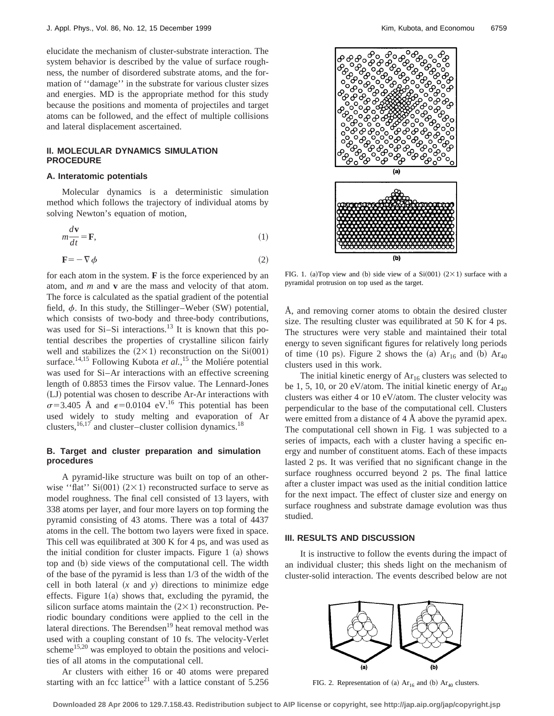elucidate the mechanism of cluster-substrate interaction. The system behavior is described by the value of surface roughness, the number of disordered substrate atoms, and the formation of ''damage'' in the substrate for various cluster sizes and energies. MD is the appropriate method for this study because the positions and momenta of projectiles and target atoms can be followed, and the effect of multiple collisions and lateral displacement ascertained.

## **II. MOLECULAR DYNAMICS SIMULATION PROCEDURE**

#### **A. Interatomic potentials**

*m*

Molecular dynamics is a deterministic simulation method which follows the trajectory of individual atoms by solving Newton's equation of motion,

$$
n\frac{d\mathbf{v}}{dt} = \mathbf{F},\tag{1}
$$

$$
\mathbf{F} = -\nabla \phi \tag{2}
$$

for each atom in the system. **F** is the force experienced by an atom, and *m* and **v** are the mass and velocity of that atom. The force is calculated as the spatial gradient of the potential field,  $\phi$ . In this study, the Stillinger–Weber (SW) potential, which consists of two-body and three-body contributions, was used for  $Si-Si$  interactions.<sup>13</sup> It is known that this potential describes the properties of crystalline silicon fairly well and stabilizes the  $(2\times1)$  reconstruction on the Si $(001)$ surface.<sup>14,15</sup> Following Kubota *et al.*,<sup>15</sup> the Moliére potential was used for Si–Ar interactions with an effective screening length of 0.8853 times the Firsov value. The Lennard-Jones (LJ) potential was chosen to describe Ar-Ar interactions with  $\sigma$ =3.405 Å and  $\epsilon$ =0.0104 eV.<sup>16</sup> This potential has been used widely to study melting and evaporation of Ar clusters,  $16,17$  and cluster–cluster collision dynamics.<sup>18</sup>

## **B. Target and cluster preparation and simulation procedures**

A pyramid-like structure was built on top of an otherwise "flat"  $Si(001)$  (2×1) reconstructed surface to serve as model roughness. The final cell consisted of 13 layers, with 338 atoms per layer, and four more layers on top forming the pyramid consisting of 43 atoms. There was a total of 4437 atoms in the cell. The bottom two layers were fixed in space. This cell was equilibrated at 300 K for 4 ps, and was used as the initial condition for cluster impacts. Figure  $1~(a)$  shows top and (b) side views of the computational cell. The width of the base of the pyramid is less than 1/3 of the width of the cell in both lateral  $(x \text{ and } y)$  directions to minimize edge effects. Figure  $1(a)$  shows that, excluding the pyramid, the silicon surface atoms maintain the  $(2\times1)$  reconstruction. Periodic boundary conditions were applied to the cell in the lateral directions. The Berendsen<sup>19</sup> heat removal method was used with a coupling constant of 10 fs. The velocity-Verlet scheme<sup>15,20</sup> was employed to obtain the positions and velocities of all atoms in the computational cell.

Ar clusters with either 16 or 40 atoms were prepared starting with an fcc lattice<sup>21</sup> with a lattice constant of  $\frac{1}{5.256}$ 



FIG. 1. (a)Top view and (b) side view of a Si $(001)$   $(2 \times 1)$  surface with a pyramidal protrusion on top used as the target.

Å, and removing corner atoms to obtain the desired cluster size. The resulting cluster was equilibrated at 50 K for 4 ps. The structures were very stable and maintained their total energy to seven significant figures for relatively long periods of time (10 ps). Figure 2 shows the (a)  $Ar_{16}$  and (b)  $Ar_{40}$ clusters used in this work.

The initial kinetic energy of  $Ar_{16}$  clusters was selected to be 1, 5, 10, or 20 eV/atom. The initial kinetic energy of  $Ar_{40}$ clusters was either 4 or 10 eV/atom. The cluster velocity was perpendicular to the base of the computational cell. Clusters were emitted from a distance of 4 Å above the pyramid apex. The computational cell shown in Fig. 1 was subjected to a series of impacts, each with a cluster having a specific energy and number of constituent atoms. Each of these impacts lasted 2 ps. It was verified that no significant change in the surface roughness occurred beyond 2 ps. The final lattice after a cluster impact was used as the initial condition lattice for the next impact. The effect of cluster size and energy on surface roughness and substrate damage evolution was thus studied.

#### **III. RESULTS AND DISCUSSION**

It is instructive to follow the events during the impact of an individual cluster; this sheds light on the mechanism of cluster-solid interaction. The events described below are not



FIG. 2. Representation of (a)  $Ar_{16}$  and (b)  $Ar_{40}$  clusters.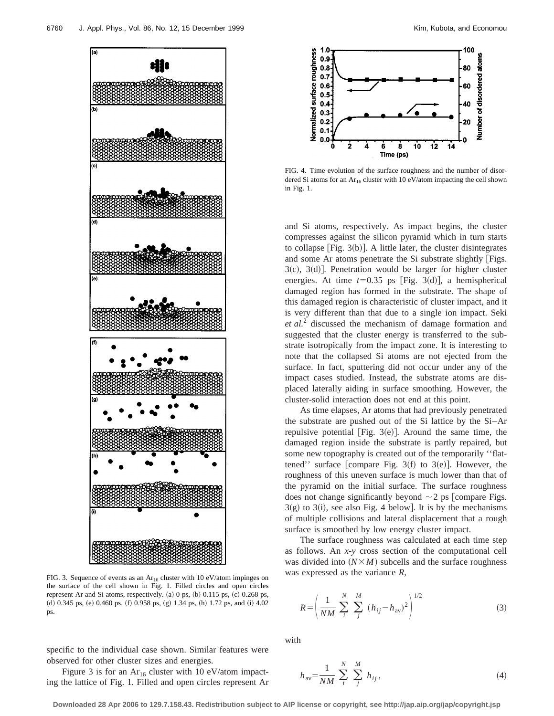

FIG. 3. Sequence of events as an  $Ar_{16}$  cluster with 10 eV/atom impinges on the surface of the cell shown in Fig. 1. Filled circles and open circles represent Ar and Si atoms, respectively.  $(a)$  0 ps,  $(b)$  0.115 ps,  $(c)$  0.268 ps,  $d)$  0.345 ps,  $(e)$  0.460 ps,  $(f)$  0.958 ps,  $(g)$  1.34 ps,  $(h)$  1.72 ps, and  $(i)$  4.02 ps.

specific to the individual case shown. Similar features were observed for other cluster sizes and energies.

Figure 3 is for an  $Ar_{16}$  cluster with 10 eV/atom impacting the lattice of Fig. 1. Filled and open circles represent Ar



FIG. 4. Time evolution of the surface roughness and the number of disordered Si atoms for an  $Ar_{16}$  cluster with 10 eV/atom impacting the cell shown in Fig. 1.

and Si atoms, respectively. As impact begins, the cluster compresses against the silicon pyramid which in turn starts to collapse [Fig.  $3(b)$ ]. A little later, the cluster disintegrates and some Ar atoms penetrate the Si substrate slightly [Figs.  $3(c)$ ,  $3(d)$ ]. Penetration would be larger for higher cluster energies. At time  $t=0.35$  ps [Fig. 3(d)], a hemispherical damaged region has formed in the substrate. The shape of this damaged region is characteristic of cluster impact, and it is very different than that due to a single ion impact. Seki *et al.*<sup>2</sup> discussed the mechanism of damage formation and suggested that the cluster energy is transferred to the substrate isotropically from the impact zone. It is interesting to note that the collapsed Si atoms are not ejected from the surface. In fact, sputtering did not occur under any of the impact cases studied. Instead, the substrate atoms are displaced laterally aiding in surface smoothing. However, the cluster-solid interaction does not end at this point.

As time elapses, Ar atoms that had previously penetrated the substrate are pushed out of the Si lattice by the Si–Ar repulsive potential [Fig.  $3(e)$ ]. Around the same time, the damaged region inside the substrate is partly repaired, but some new topography is created out of the temporarily ''flattened'' surface [compare Fig. 3(f) to 3(e)]. However, the roughness of this uneven surface is much lower than that of the pyramid on the initial surface. The surface roughness does not change significantly beyond  $\sim$  2 ps [compare Figs.  $3(g)$  to  $3(i)$ , see also Fig. 4 below]. It is by the mechanisms of multiple collisions and lateral displacement that a rough surface is smoothed by low energy cluster impact.

The surface roughness was calculated at each time step as follows. An *x*-*y* cross section of the computational cell was divided into  $(N \times M)$  subcells and the surface roughness was expressed as the variance *R*,

$$
R = \left(\frac{1}{NM} \sum_{i}^{N} \sum_{j}^{M} (h_{ij} - h_{av})^{2}\right)^{1/2}
$$
 (3)

with

$$
h_{\rm av} = \frac{1}{NM} \sum_{i}^{N} \sum_{j}^{M} h_{ij}, \tag{4}
$$

**Downloaded 28 Apr 2006 to 129.7.158.43. Redistribution subject to AIP license or copyright, see http://jap.aip.org/jap/copyright.jsp**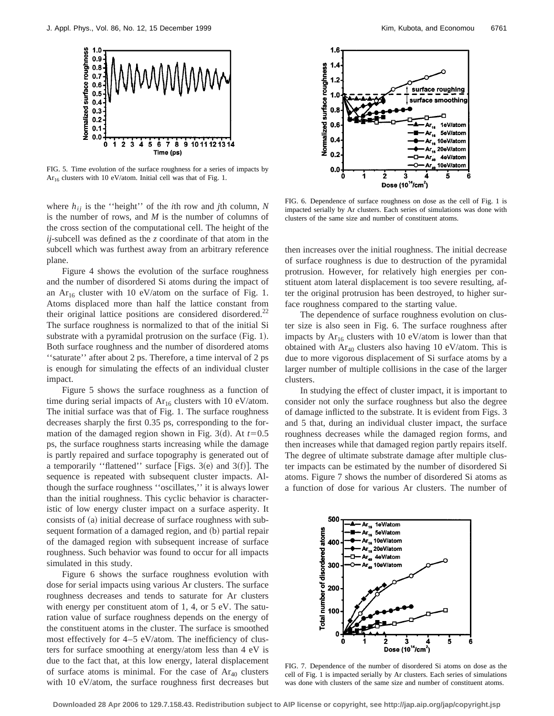

FIG. 5. Time evolution of the surface roughness for a series of impacts by Ar<sub>16</sub> clusters with 10 eV/atom. Initial cell was that of Fig. 1.

where  $h_{ij}$  is the "height" of the *i*th row and *j*th column, *N* is the number of rows, and *M* is the number of columns of the cross section of the computational cell. The height of the *ij*-subcell was defined as the *z* coordinate of that atom in the subcell which was furthest away from an arbitrary reference plane.

Figure 4 shows the evolution of the surface roughness and the number of disordered Si atoms during the impact of an  $Ar_{16}$  cluster with 10 eV/atom on the surface of Fig. 1. Atoms displaced more than half the lattice constant from their original lattice positions are considered disordered.<sup>22</sup> The surface roughness is normalized to that of the initial Si substrate with a pyramidal protrusion on the surface  $(Fig. 1)$ . Both surface roughness and the number of disordered atoms ''saturate'' after about 2 ps. Therefore, a time interval of 2 ps is enough for simulating the effects of an individual cluster impact.

Figure 5 shows the surface roughness as a function of time during serial impacts of  $Ar_{16}$  clusters with 10 eV/atom. The initial surface was that of Fig. 1. The surface roughness decreases sharply the first 0.35 ps, corresponding to the formation of the damaged region shown in Fig. 3(d). At  $t=0.5$ ps, the surface roughness starts increasing while the damage is partly repaired and surface topography is generated out of a temporarily "flattened" surface [Figs. 3 $(e)$  and 3 $(f)$ ]. The sequence is repeated with subsequent cluster impacts. Although the surface roughness ''oscillates,'' it is always lower than the initial roughness. This cyclic behavior is characteristic of low energy cluster impact on a surface asperity. It consists of (a) initial decrease of surface roughness with subsequent formation of a damaged region, and (b) partial repair of the damaged region with subsequent increase of surface roughness. Such behavior was found to occur for all impacts simulated in this study.

Figure 6 shows the surface roughness evolution with dose for serial impacts using various Ar clusters. The surface roughness decreases and tends to saturate for Ar clusters with energy per constituent atom of 1, 4, or 5 eV. The saturation value of surface roughness depends on the energy of the constituent atoms in the cluster. The surface is smoothed most effectively for 4–5 eV/atom. The inefficiency of clusters for surface smoothing at energy/atom less than 4 eV is due to the fact that, at this low energy, lateral displacement of surface atoms is minimal. For the case of  $Ar_{40}$  clusters with 10 eV/atom, the surface roughness first decreases but



FIG. 6. Dependence of surface roughness on dose as the cell of Fig. 1 is impacted serially by Ar clusters. Each series of simulations was done with clusters of the same size and number of constituent atoms.

then increases over the initial roughness. The initial decrease of surface roughness is due to destruction of the pyramidal protrusion. However, for relatively high energies per constituent atom lateral displacement is too severe resulting, after the original protrusion has been destroyed, to higher surface roughness compared to the starting value.

The dependence of surface roughness evolution on cluster size is also seen in Fig. 6. The surface roughness after impacts by  $Ar_{16}$  clusters with 10 eV/atom is lower than that obtained with  $Ar_{40}$  clusters also having 10 eV/atom. This is due to more vigorous displacement of Si surface atoms by a larger number of multiple collisions in the case of the larger clusters.

In studying the effect of cluster impact, it is important to consider not only the surface roughness but also the degree of damage inflicted to the substrate. It is evident from Figs. 3 and 5 that, during an individual cluster impact, the surface roughness decreases while the damaged region forms, and then increases while that damaged region partly repairs itself. The degree of ultimate substrate damage after multiple cluster impacts can be estimated by the number of disordered Si atoms. Figure 7 shows the number of disordered Si atoms as a function of dose for various Ar clusters. The number of



FIG. 7. Dependence of the number of disordered Si atoms on dose as the cell of Fig. 1 is impacted serially by Ar clusters. Each series of simulations was done with clusters of the same size and number of constituent atoms.